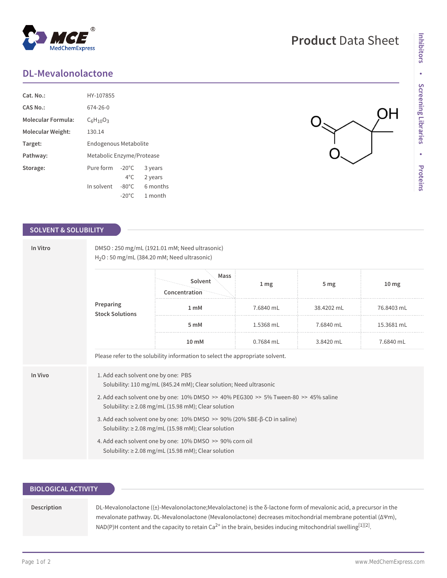## **DL-Mevalonolactone**

**MedChemExpress** 

| $Cat. No.$ :       | HY-107855                    |                  |          |  |  |
|--------------------|------------------------------|------------------|----------|--|--|
| <b>CAS No.:</b>    | 674-26-0                     |                  |          |  |  |
| Molecular Formula: | $C_6H_{10}O_3$               |                  |          |  |  |
| Molecular Weight:  | 130.14                       |                  |          |  |  |
| Target:            | <b>Endogenous Metabolite</b> |                  |          |  |  |
| Pathway:           | Metabolic Enzyme/Protease    |                  |          |  |  |
| Storage:           | Pure form                    | $-20^{\circ}$ C. | 3 years  |  |  |
|                    |                              | $4^{\circ}$ C.   | 2 years  |  |  |
|                    | In solvent                   | $-80^{\circ}$ C  | 6 months |  |  |
|                    |                              | $-20^{\circ}$ C  | 1 month  |  |  |

### **SOLVENT & SOLUBILITY**

| In Vitro<br>Preparing | DMSO: 250 mg/mL (1921.01 mM; Need ultrasonic)<br>$H2O$ : 50 mg/mL (384.20 mM; Need ultrasonic)                                                     |                                  |           |                 |                  |  |  |  |
|-----------------------|----------------------------------------------------------------------------------------------------------------------------------------------------|----------------------------------|-----------|-----------------|------------------|--|--|--|
|                       | <b>Stock Solutions</b>                                                                                                                             | Mass<br>Solvent<br>Concentration | 1 mg      | 5 <sub>mg</sub> | 10 <sub>mg</sub> |  |  |  |
|                       |                                                                                                                                                    | 1 <sub>m</sub> M                 | 7.6840 mL | 38.4202 mL      | 76.8403 mL       |  |  |  |
|                       |                                                                                                                                                    | 5 mM                             | 1.5368 mL | 7.6840 mL       | 15.3681 mL       |  |  |  |
|                       |                                                                                                                                                    | 10 mM                            | 0.7684 mL | 3.8420 mL       | 7.6840 mL        |  |  |  |
|                       | Please refer to the solubility information to select the appropriate solvent.                                                                      |                                  |           |                 |                  |  |  |  |
| In Vivo               | 1. Add each solvent one by one: PBS<br>Solubility: 110 mg/mL (845.24 mM); Clear solution; Need ultrasonic                                          |                                  |           |                 |                  |  |  |  |
|                       | 2. Add each solvent one by one: 10% DMSO >> 40% PEG300 >> 5% Tween-80 >> 45% saline<br>Solubility: $\geq$ 2.08 mg/mL (15.98 mM); Clear solution    |                                  |           |                 |                  |  |  |  |
|                       | 3. Add each solvent one by one: $10\%$ DMSO $\gg$ 90% (20% SBE- $\beta$ -CD in saline)<br>Solubility: $\geq$ 2.08 mg/mL (15.98 mM); Clear solution |                                  |           |                 |                  |  |  |  |
|                       | 4. Add each solvent one by one: 10% DMSO >> 90% corn oil<br>Solubility: $\geq$ 2.08 mg/mL (15.98 mM); Clear solution                               |                                  |           |                 |                  |  |  |  |

### **BIOLOGICAL ACTIVITY**

**Description** DL-Mevalonolactone ((±)-Mevalonolactone;Mevalolactone) is the δ-lactone form of mevalonic acid, a precursor in the mevalonate pathway. DL-Mevalonolactone (Mevalonolactone) decreases mitochondrial membrane potential (∆Ψm), <code>NAD(P)H</code> content and the capacity to retain Ca $^{2+}$  in the brain, besides inducing mitochondrial swelling $^{[1][2]}$ .

# **Product** Data Sheet

OH